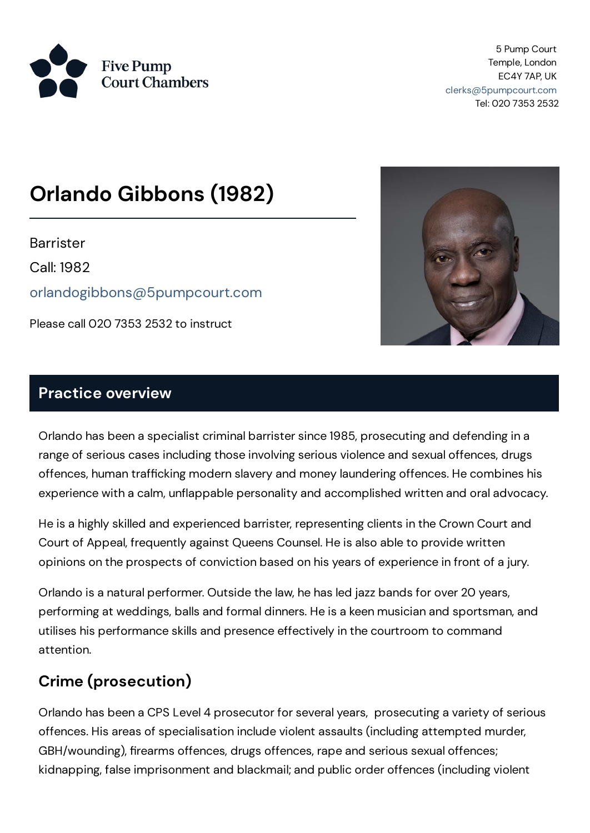

5 Pump Court Temple, London EC4Y 7AP, UK [clerks@5pumpcourt.com](mailto:clerks@5pumpcourt.com) Tel: 020 7353 2532

# **Orlando Gibbons (1982)**

**Barrister** 

Call: 1982

[orlandogibbons@5pumpcourt.com](mailto:orlandogibbons@5pumpcourt.com)

Please call 020 7353 2532 to instruct



#### **Practice overview**

Orlando has been a specialist criminal barristersince 1985, prosecuting and defending in a range of serious cases including those involving serious violence and sexual offences, drugs offences, human trafficking modern slavery and money laundering offences. He combines his experience with a calm, unflappable personality and accomplished written and oral advocacy.

He is a highly skilled and experienced barrister, representing clients in the Crown Court and Court of Appeal, frequently against Queens Counsel. He is also able to provide written opinions on the prospects of conviction based on his years of experience in front of a jury.

Orlando is a natural performer. Outside the law, he has led jazz bands for over 20 years, performing at weddings, balls and formal dinners. He is a keen musician and sportsman, and utilises his performance skills and presence effectively in the courtroom to command attention.

### **Crime (prosecution)**

Orlando has been a CPS Level 4 prosecutor for several years, prosecuting a variety of serious offences. His areas of specialisation include violent assaults (including attempted murder, GBH/wounding), firearms offences, drugs offences, rape and serious sexual offences; kidnapping, false imprisonment and blackmail; and public order offences (including violent